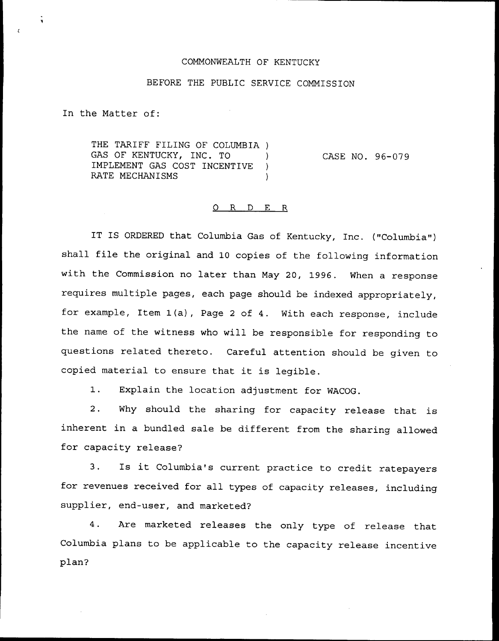## COMMONWEALTH OF KENTUCKY

## BEFORE THE PUBLIC SERVICE COMMISSION

In the Matter of:

THE TARIFF FILING OF COLUMBIA ) GAS OF KENTUCKY, INC. TO IMPLEMENT GAS COST INCENTIVE ) RATE MECHANISMS

CASE NO. 96-079

## 0 R <sup>D</sup> E R

 $\lambda$ 

IT IS ORDERED that Columbia Gas of Kentucky, Inc. ("Columbia") shall file the original and <sup>10</sup> copies of the following information with the Commission no later than May 20, 1996. When a response requires multiple pages, each page should be indexed appropriately, for example, Item 1(a), Page <sup>2</sup> of 4. With each response, include the name of the witness who will be responsible for responding to questions related thereto. Careful attention should be given to copied material to ensure that it is legible.

1. Explain the location adjustment for WACOG.

2. Why should the sharing for capacity release that is inherent in a bundled sale be different from the sharing allowed for capacity release?

3. Is it Columbia's current practice to credit ratepayers for revenues received for all types of capacity releases, including supplier, end-user, and marketed?

4. Are marketed releases the only type of release that Columbia plans to be applicable to the capacity release incentive plan?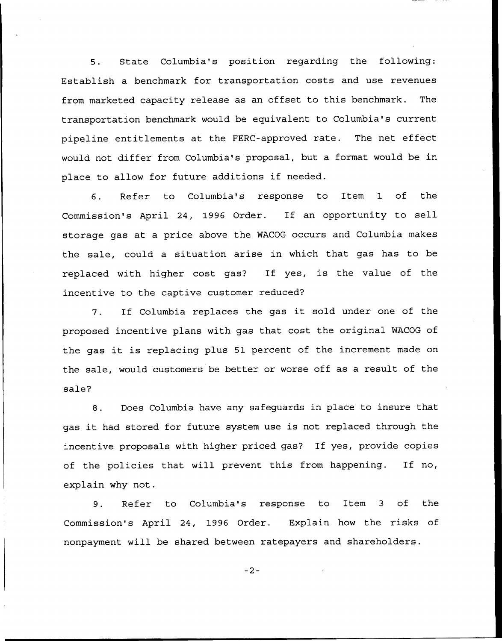5. State Columbia's position regarding the following: Establish a benchmark for transportation costs and use revenues from marketed capacity release as an offset to this benchmark. The transportation benchmark would be equivalent to Columbia's current pipeline entitlements at the FERC-approved rate. The net effect would not differ from Columbia's proposal, but a format would be in place to allow for future additions if needed.

6. Refer to Columbia's response to Item 1 of the Commission's April 24, 1996 Order. If an opportunity to sell storage gas at a price above the WACOG occurs and Columbia makes the sale, could a situation arise in which that gas has to be replaced with higher cost gas? If yes, is the value of the incentive to the captive customer reduced?

7. If Columbia replaces the gas it sold under one of the proposed incentive plans with gas that cost the original WACOG of the gas it is replacing plus <sup>51</sup> percent of the increment made on the sale, would customers be better or worse off as a result of the sale?

8. Does Columbia have any safeguards in place to insure that gas it had stored for future system use is not replaced through the incentive proposals with higher priced gas? If yes, provide copies of the policies that will prevent this from happening. If no, explain why not.

9. Refer to Columbia's response to Item <sup>3</sup> of the Commission's April 24, 1996 Order. Explain how the risks of nonpayment will be shared between ratepayers and shareholders.

 $-2-$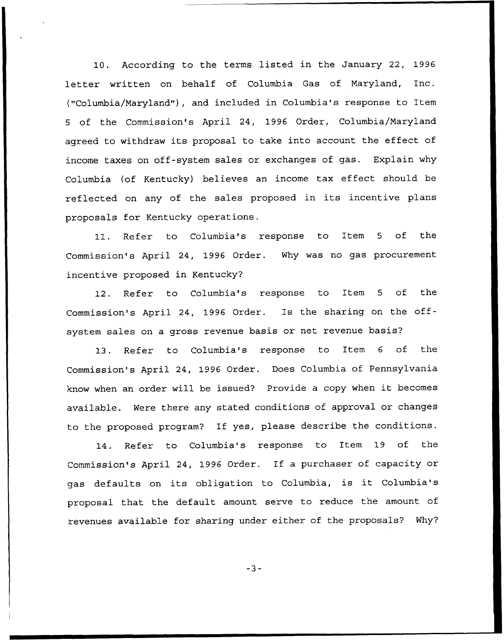10. According to the terms listed in the January 22, 1996 letter written on behalf of Columbia Gas of Maryland, Inc. ("Columbia/Maryland"), and included in Columbia's response to Item 5 of the Commission's April 24, 1996 Order, Columbia/Maryland agreed to withdraw its proposal to take into account the effect of income taxes on off-system sales or exchanges of gas. Explain why Columbia (of Kentucky) believes an income tax effect should be reflected on any of the sales proposed in its incentive plans proposals for Kentucky operations.

11. Refer to Columbia's response to Item <sup>5</sup> of the Commission's April 24, 1996 Order. Why was no gas procurement incentive proposed in Kentucky?

12. Refer to Columbia's response to Item <sup>5</sup> of the Commission's April 24, 1996 Order. Is the sharing on the offsystem sales on a gross revenue basis or net revenue basis?

13. Refer to Columbia's response to Item <sup>6</sup> of the Commission's April 24, 1996 Order. Does Columbia of Pennsylvania know when an order will be issued? Provide <sup>a</sup> copy when it becomes available. Were there any stated conditions of approval or changes to the proposed program? If yes, please describe the conditions.

14. Refer to Columbia's response to Item 19 of the Commission's April 24, 1996 Order. If a purchaser of capacity or gas defaults on its obligation to Columbia, is it Columbia's proposal that the default amount serve to reduce the amount of revenues available for sharing under either of the proposals? Why?

 $-3-$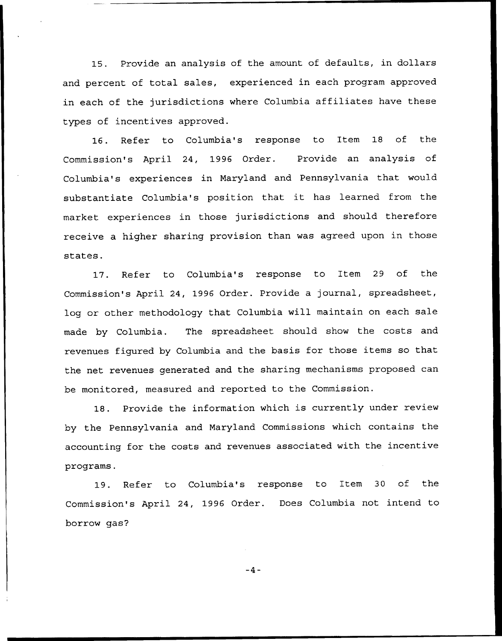15. Provide an analysis of the amount of defaults, in dollars and percent of total sales, experienced in each program approved in each of the jurisdictions where Columbia affiliates have these types of incentives approved.

16. Refer to Columbia's response to Item 18 of the Commission's April 24, 1996 Order. Provide an analysis of Columbia's experiences in Maryland and Pennsylvania that would substantiate Columbia's position that it has learned from the market experiences in those jurisdictions and should therefore receive a higher sharing provision than was agreed upon in those states.

17. Refer to Columbia's response to Item 29 of the Commission's April 24, 1996 Order. Provide a journal, spreadsheet, log or other methodology that Columbia will maintain on each sale made by Columbia. The spreadsheet should show the costs and revenues figured by Columbia and the basis for those items so that the net revenues generated and the sharing mechanisms proposed can be monitored, measured and reported to the Commission.

1S. Provide the information which is currently under review by the Pennsylvania and Maryland Commissions which contains the accounting for the costs and revenues associated with the incentive programs.

19. Refer to Columbia's response to Item 30 of the Commission's April 24, 1996 Order. Does Columbia not intend to borrow gas?

 $-4-$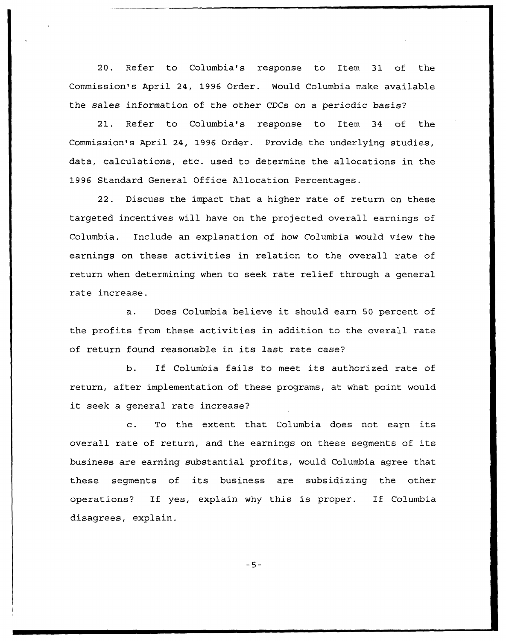20. Refer to Columbia's response to Item 31 of the Commission's April 24, 1996 Order. Would Columbia make available the sales information of the other CDCs on a periodic basis?

21. Refer to Columbia's response to Item 34 of the Commission's April 24, 1996 Order. Provide the underlying studies, data, calculations, etc. used to determine the allocations in the 1996 Standard General Office Allocation Percentages.

22. Discuss the impact that a higher rate of return on these targeted incentives will have on the projected overall earnings of Columbia. Include an explanation of how Columbia would view the earnings on these activities in relation to the overall rate of return when determining when to seek rate relief through a general rate increase.

a. Does Columbia believe it should earn <sup>50</sup> percent of the profits from these activities in addition to the overall rate of return found reasonable in its last rate case?

b. If Columbia fails to meet its authorized rate of return, after implementation of these programs, at what point would it seek <sup>a</sup> general rate increase?

c. To the extent that Columbia does not earn its overall rate of return, and the earnings on these segments of its business are earning substantial profits, would Columbia agree that these segments of its business are subsidizing the other operations? If yes, explain why this is proper. If Columbia disagrees, explain.

 $-5-$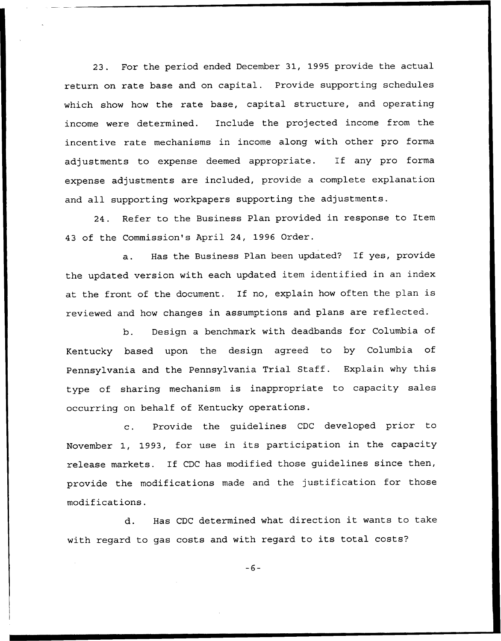23. For the period ended December 31, 1995 provide the actual return on rate base and on capital. Provide supporting schedules which show how the rate base, capital structure, and operating income were determined. Include the projected income from the incentive rate mechanisms in income along with other pro forma adjustments to expense deemed appropriate. If any pro forma expense adjustments are included, provide a complete explanation and all supporting workpapers supporting the adjustments.

24. Refer to the Business Plan provided in response to Item 43 of the Commission's April 24, 1996 Order.

a. Has the Business Plan been updated? If yes, provide the updated version with each updated item identified in an index at the front of the document. If no, explain how often the plan is reviewed and how changes in assumptions and plans are reflected.

b. Design a benchmark with deadbands for Columbia of Kentucky based upon the design agreed to by Columbia of Pennsylvania and the Pennsylvania Trial Staff. Explain why this type of sharing mechanism is inappropriate to capacity sales occurring on behalf of Kentucky operations.

c. Provide the guidelines CDC developed prior to November 1, 1993, for use in its participation in the capacity release markets. If CDC has modified those guidelines since then, provide the modifications made and the justification for those modifications.

d. Has CDC determined what direction it wants to take with regard to gas costs and with regard to its total costs?

 $-6-$